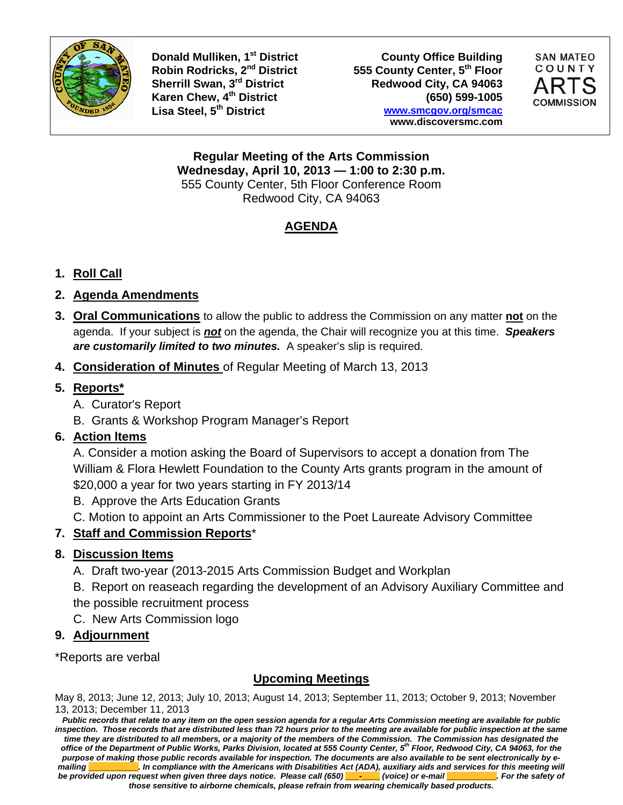

**Donald Mulliken, 1<sup>st</sup> District County Office Building<br>Robin Rodricks, 2<sup>nd</sup> District 555 County Center, 5<sup>th</sup> Floor** 555 County Center, 5<sup>th</sup> Floor Sherrill Swan, 3<sup>rd</sup> District Redwood City, CA 94063 **Karen Chew, 4th District (650) 599-1005 Lisa Steel, 5th District www.smcgov.org/smcac www.discoversmc.com** 



**Regular Meeting of the Arts Commission Wednesday, April 10, 2013 — 1:00 to 2:30 p.m.**  555 County Center, 5th Floor Conference Room Redwood City, CA 94063

### **AGENDA**

#### **1. Roll Call**

#### **2. Agenda Amendments**

- **3. Oral Communications** to allow the public to address the Commission on any matter **not** on the agenda. If your subject is *not* on the agenda, the Chair will recognize you at this time. *Speakers are customarily limited to two minutes.* A speaker's slip is required.
- **4. Consideration of Minutes** of Regular Meeting of March 13, 2013

#### **5. Reports\***

- A. Curator's Report
- B. Grants & Workshop Program Manager's Report

#### **6. Action ltems**

A. Consider a motion asking the Board of Supervisors to accept a donation from The William & Flora Hewlett Foundation to the County Arts grants program in the amount of \$20,000 a year for two years starting in FY 2013/14

- B. Approve the Arts Education Grants
- C. Motion to appoint an Arts Commissioner to the Poet Laureate Advisory Committee

#### **7. Staff and Commission Reports**\*

#### **8. Discussion Items**

- A. Draft two-year (2013-2015 Arts Commission Budget and Workplan
- B. Report on reaseach regarding the development of an Advisory Auxiliary Committee and the possible recruitment process

C. New Arts Commission logo

#### **9. Adjournment**

\*Reports are verbal

#### **Upcoming Meetings**

May 8, 2013; June 12, 2013; July 10, 2013; August 14, 2013; September 11, 2013; October 9, 2013; November 13, 2013; December 11, 2013

*Public records that relate to any item on the open session agenda for a regular Arts Commission meeting are available for public inspection. Those records that are distributed less than 72 hours prior to the meeting are available for public inspection at the same time they are distributed to all members, or a majority of the members of the Commission. The Commission has designated the office of the Department of Public Works, Parks Division, located at 555 County Center, 5th Floor, Redwood City, CA 94063, for the purpose of making those public records available for inspection. The documents are also available to be sent electronically by emailing \_\_\_\_\_\_\_\_\_\_\_. In compliance with the Americans with Disabilities Act (ADA), auxiliary aids and services for this meeting will be provided upon request when given three days notice. Please call (650)*  $\rightarrow$  (voice) or e-mail **For all and the safety of** *those sensitive to airborne chemicals, please refrain from wearing chemically based products.*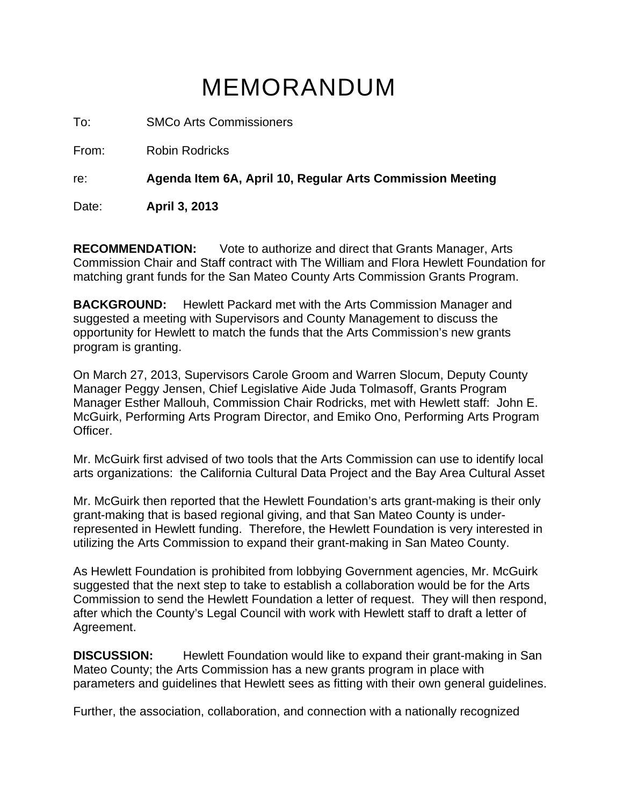# MEMORANDUM

To: SMCo Arts Commissioners

From: Robin Rodricks

re: **Agenda Item 6A, April 10, Regular Arts Commission Meeting**

Date: **April 3, 2013**

**RECOMMENDATION:** Vote to authorize and direct that Grants Manager, Arts Commission Chair and Staff contract with The William and Flora Hewlett Foundation for matching grant funds for the San Mateo County Arts Commission Grants Program.

**BACKGROUND:** Hewlett Packard met with the Arts Commission Manager and suggested a meeting with Supervisors and County Management to discuss the opportunity for Hewlett to match the funds that the Arts Commission's new grants program is granting.

On March 27, 2013, Supervisors Carole Groom and Warren Slocum, Deputy County Manager Peggy Jensen, Chief Legislative Aide Juda Tolmasoff, Grants Program Manager Esther Mallouh, Commission Chair Rodricks, met with Hewlett staff: John E. McGuirk, Performing Arts Program Director, and Emiko Ono, Performing Arts Program Officer.

Mr. McGuirk first advised of two tools that the Arts Commission can use to identify local arts organizations: the California Cultural Data Project and the Bay Area Cultural Asset

Mr. McGuirk then reported that the Hewlett Foundation's arts grant-making is their only grant-making that is based regional giving, and that San Mateo County is underrepresented in Hewlett funding. Therefore, the Hewlett Foundation is very interested in utilizing the Arts Commission to expand their grant-making in San Mateo County.

As Hewlett Foundation is prohibited from lobbying Government agencies, Mr. McGuirk suggested that the next step to take to establish a collaboration would be for the Arts Commission to send the Hewlett Foundation a letter of request. They will then respond, after which the County's Legal Council with work with Hewlett staff to draft a letter of Agreement.

**DISCUSSION:** Hewlett Foundation would like to expand their grant-making in San Mateo County; the Arts Commission has a new grants program in place with parameters and guidelines that Hewlett sees as fitting with their own general guidelines.

Further, the association, collaboration, and connection with a nationally recognized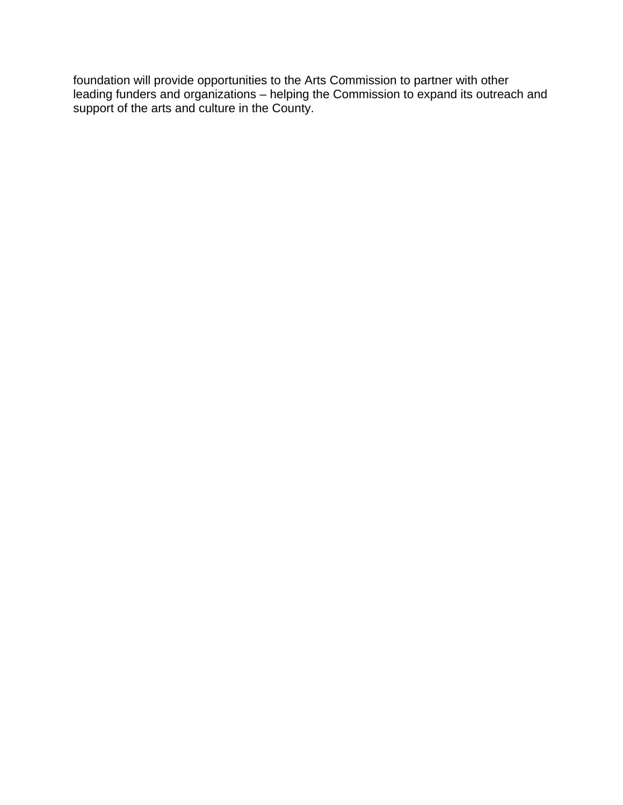foundation will provide opportunities to the Arts Commission to partner with other leading funders and organizations – helping the Commission to expand its outreach and support of the arts and culture in the County.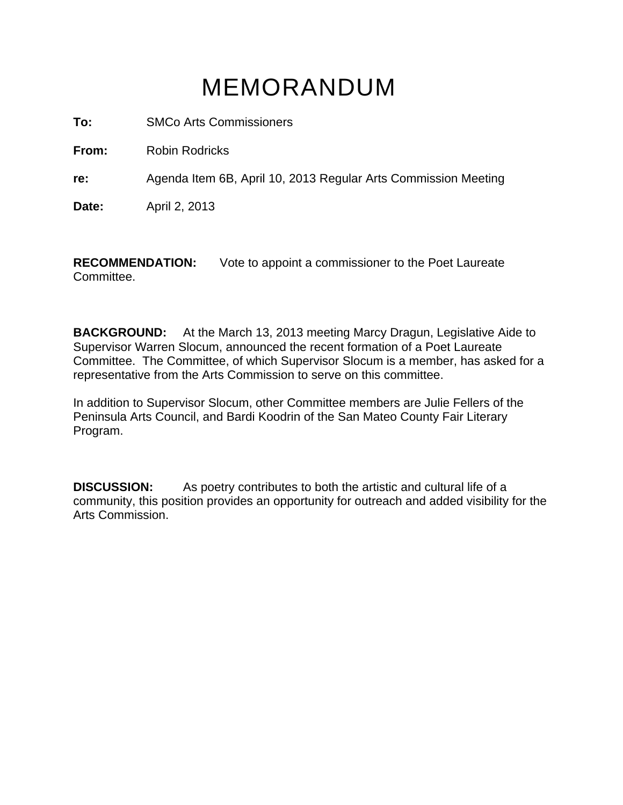# MEMORANDUM

**To:** SMCo Arts Commissioners

**From:** Robin Rodricks

**re:** Agenda Item 6B, April 10, 2013 Regular Arts Commission Meeting

**Date:** April 2, 2013

**RECOMMENDATION:** Vote to appoint a commissioner to the Poet Laureate Committee.

**BACKGROUND:** At the March 13, 2013 meeting Marcy Dragun, Legislative Aide to Supervisor Warren Slocum, announced the recent formation of a Poet Laureate Committee. The Committee, of which Supervisor Slocum is a member, has asked for a representative from the Arts Commission to serve on this committee.

In addition to Supervisor Slocum, other Committee members are Julie Fellers of the Peninsula Arts Council, and Bardi Koodrin of the San Mateo County Fair Literary Program.

**DISCUSSION:** As poetry contributes to both the artistic and cultural life of a community, this position provides an opportunity for outreach and added visibility for the Arts Commission.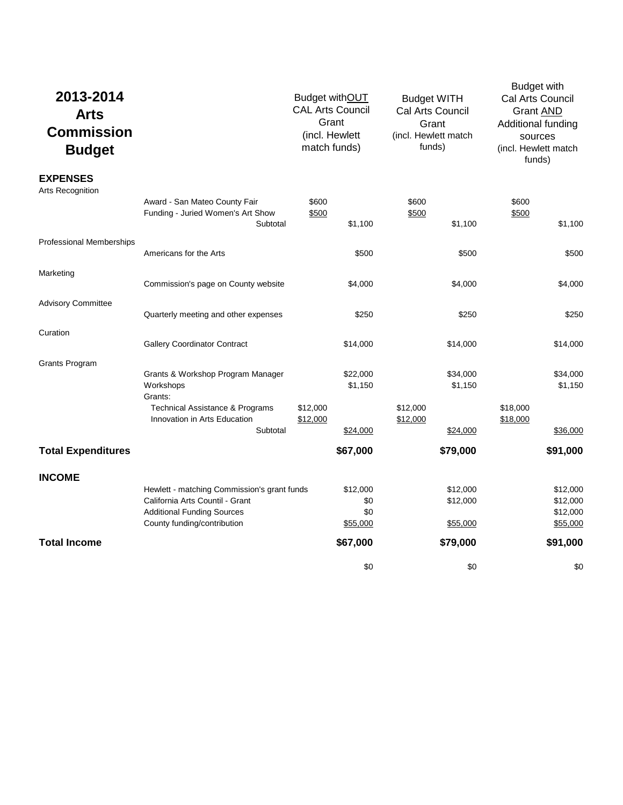| 2013-2014<br><b>Arts</b><br><b>Commission</b><br><b>Budget</b> |                                                                                                                                                    | Budget withOUT<br><b>CAL Arts Council</b><br>Grant<br>(incl. Hewlett<br>match funds) | <b>Budget WITH</b><br>Cal Arts Council<br>Grant<br>(incl. Hewlett match<br>funds) | <b>Budget with</b><br>Cal Arts Council<br><b>Grant AND</b><br>Additional funding<br>sources<br>(incl. Hewlett match<br>funds) |
|----------------------------------------------------------------|----------------------------------------------------------------------------------------------------------------------------------------------------|--------------------------------------------------------------------------------------|-----------------------------------------------------------------------------------|-------------------------------------------------------------------------------------------------------------------------------|
| <b>EXPENSES</b><br>Arts Recognition                            |                                                                                                                                                    |                                                                                      |                                                                                   |                                                                                                                               |
|                                                                | Award - San Mateo County Fair<br>Funding - Juried Women's Art Show<br>Subtotal                                                                     | \$600<br>\$500<br>\$1,100                                                            | \$600<br>\$500<br>\$1,100                                                         | \$600<br>\$500<br>\$1,100                                                                                                     |
| <b>Professional Memberships</b>                                | Americans for the Arts                                                                                                                             | \$500                                                                                | \$500                                                                             | \$500                                                                                                                         |
| Marketing                                                      | Commission's page on County website                                                                                                                | \$4,000                                                                              | \$4,000                                                                           | \$4,000                                                                                                                       |
| <b>Advisory Committee</b>                                      | Quarterly meeting and other expenses                                                                                                               | \$250                                                                                | \$250                                                                             | \$250                                                                                                                         |
| Curation                                                       | <b>Gallery Coordinator Contract</b>                                                                                                                | \$14,000                                                                             | \$14,000                                                                          | \$14,000                                                                                                                      |
| Grants Program                                                 |                                                                                                                                                    |                                                                                      |                                                                                   |                                                                                                                               |
|                                                                | Grants & Workshop Program Manager<br>Workshops<br>Grants:                                                                                          | \$22,000<br>\$1,150                                                                  | \$34,000<br>\$1,150                                                               | \$34,000<br>\$1,150                                                                                                           |
|                                                                | Technical Assistance & Programs<br>Innovation in Arts Education                                                                                    | \$12,000<br>\$12,000                                                                 | \$12,000<br>\$12,000                                                              | \$18,000<br>\$18,000                                                                                                          |
|                                                                | Subtotal                                                                                                                                           | \$24,000                                                                             | \$24,000                                                                          | \$36,000                                                                                                                      |
| <b>Total Expenditures</b>                                      |                                                                                                                                                    | \$67,000                                                                             | \$79,000                                                                          | \$91,000                                                                                                                      |
| <b>INCOME</b>                                                  |                                                                                                                                                    |                                                                                      |                                                                                   |                                                                                                                               |
|                                                                | Hewlett - matching Commission's grant funds<br>California Arts Countil - Grant<br><b>Additional Funding Sources</b><br>County funding/contribution | \$12,000<br>\$0<br>\$0<br>\$55,000                                                   | \$12,000<br>\$12,000<br>\$55,000                                                  | \$12,000<br>\$12,000<br>\$12,000<br>\$55,000                                                                                  |
| <b>Total Income</b>                                            |                                                                                                                                                    | \$67,000                                                                             | \$79,000                                                                          | \$91,000                                                                                                                      |
|                                                                |                                                                                                                                                    |                                                                                      |                                                                                   |                                                                                                                               |
|                                                                |                                                                                                                                                    | \$0                                                                                  | \$0                                                                               | \$0                                                                                                                           |